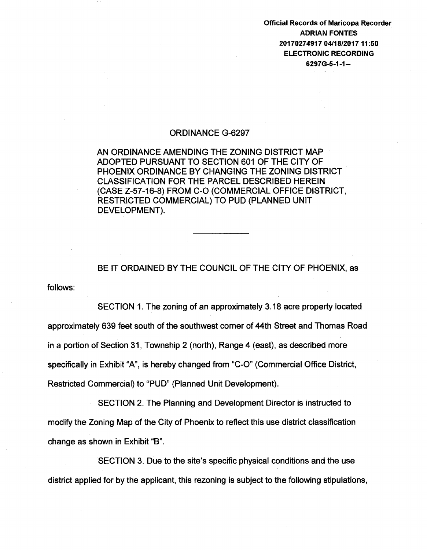Official Records of Maricopa Recorder ADRIAN FONTES 20170274917 04/18/2017 11:50 ELECTRONIC RECORDING 6297G-5-1-1-

## ORDINANCE G-6297

AN ORDINANCE AMENDING THE ZONING DISTRICT MAP ADOPTED PURSUANT TO SECTION 601 OF THE CITY OF PHOENIX ORDINANCE BY CHANGING THE ZONING DISTRICT CLASSIFICATION FOR THE PARCEL DESCRIBED HEREIN (CASE Z-57-16-8) FROM C-0 (COMMERCIAL OFFICE DISTRICT, RESTRICTED COMMERCIAL) TO PUD (PLANNED UNIT DEVELOPMENT).

follows: BE IT ORDAINED BY THE COUNCIL OF THE CITY OF PHOENIX, as

SECTION 1. The zoning of an approximately 3.18 acre property located approximately 639 feet south of the southwest corner of 44th Street and Thomas Road in a portion of Section 31, Township 2 (north), Range 4 (east), as described more specifically in Exhibit "A", is hereby changed from "C-0" (Commercial Office District, Restricted Commercial) to "PUD" (Planned Unit Development).

SECTION 2. The Planning and Development Director is instructed to modify the Zoning Map of the City of Phoenix to reflect this use district classification change as shown in Exhibit "B".

SECTION 3. Due to the site's specific physical conditions and the use district applied for by the applicant, this rezoning is subject to the following stipulations,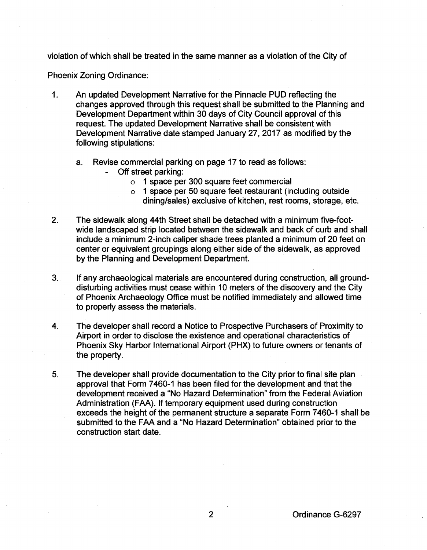violation of which shall be treated in the same manner as a violation of the City of

Phoenix Zoning Ordinance:

- 1. An updated Development Narrative for the Pinnacle PUD reflecting the changes approved through this request shall be submitted to the Planning and Development Department within 30 days of City Council approval of this request. The updated Development Narrative shall be consistent with Development Narrative date stamped January 27, 2017 as modified by the following stipulations:
	- a. Revise commercial parking on page 17 to read as follows:
		- Off street parking:
			- o 1 space per 300 square feet commercial
			- o 1 space per 50 square feet restaurant (including outside dining/sales) exclusive of kitchen, rest rooms, storage, etc.
- 2. The sidewalk along 44th Street shall be detached with a minimum five-footwide landscaped strip located between the sidewalk and back of curb and shall include a minimum 2-inch caliper shade trees planted a minimum of 20 feet on center or equivalent groupings along either side of the sidewalk, as approved by the Planning and Development Department.
- 3. If any archaeological materials are encountered during construction, all grounddisturbing activities must cease within 10 meters of the discovery and the City of Phoenix Archaeology Office must be notified immediately and allowed time to properly assess the materials.
- 4. The developer shall record a Notice to Prospective Purchasers of Proximity to Airport in order to disclose the existence and operational characteristics of Phoenix Sky Harbor International Airport (PHX) to future owners or tenants of the property.
- 5. The developer shall provide documentation to the City prior to final site plan approval that Form 7 460-1 has been filed for the development and that the development received a "No Hazard Determination" from the Federal Aviation Administration (FAA). If temporary equipment used during construction exceeds the height of the permanent structure a separate Form 7 460-1 shall be submitted to the FAA and a "No Hazard Determination" obtained prior to the construction start date.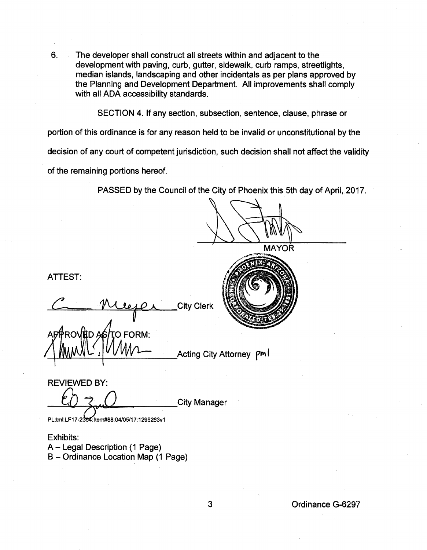6. The developer shall construct all streets within and adjacent to the development with paving, curb, gutter, sidewalk, curb ramps, streetlights, median islands, landscaping and other incidentals as per plans approved by the Planning and Development Department. All improvements shall comply with all ADA accessibility standards.

SECTION 4. If any section, subsection, sentence, clause, phrase or

portion of this ordinance is for any reason held to be invalid or unconstitutional by the

decision of any court of competent jurisdiction, such decision shall not affect the validity

of the remaining portions hereof.

PASSED by the Council of the City of Phoenix this 5th day of April, 2017.

**MAYOR** 

ATTEST:

**City Clerk** 

O FORM:

Acting City Attorney Pm

REVIEWED BY: **City Manager** 

PL:tml:LF17-2354:Item#88:04/05/17:1296263v1

Exhibits: A - Legal Description (1 Page) B- Ordinance Location Map (1 Page)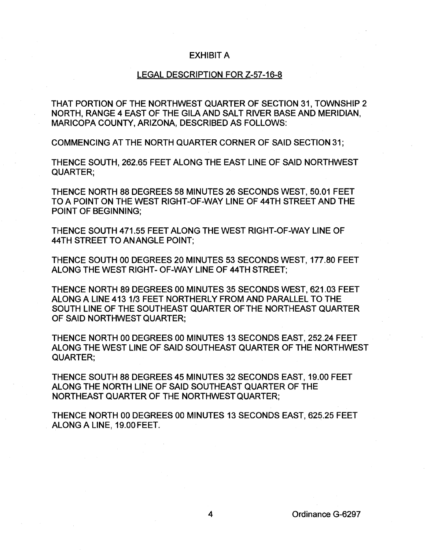## EXHIBIT A

## LEGAL DESCRIPTION FOR Z-57-16-8

THAT PORTION OF THE NORTHWEST QUARTER OF SECTION 31, TOWNSHIP 2 NORTH, RANGE 4 EAST OF THE GILA AND SALT RIVER BASE AND MERIDIAN, MARICOPA COUNTY, ARIZONA, DESCRIBED AS FOLLOWS:

COMMENCING AT THE NORTH QUARTER CORNER OF SAID SECTION 31;

THENCE SOUTH, 262.65 FEET ALONG THE EAST LINE OF SAID NORTHWEST QUARTER;

THENCE NORTH 88 DEGREES 58 MINUTES 26 SECONDS WEST, 50.01 FEET TO A POINT ON THE WEST RIGHT-OF-WAY LINE OF 44TH STREET AND THE POINT OF BEGINNING;

THENCE SOUTH 471.55 FEET ALONG THE WEST RIGHT-OF-WAY LINE OF 44TH STREET TO AN ANGLE POINT;

THENCE SOUTH 00 DEGREES 20 MINUTES 53 SECONDS WEST, 177.80 FEET ALONG THE WEST RIGHT- OF-WAY LINE OF 44TH STREET;

THENCE NORTH 89 DEGREES 00 MINUTES 35 SECONDS WEST, 621.03 FEET ALONG A LINE 413 1/3 FEET NORTHERLY FROM AND PARALLEL TO THE SOUTH LINE OF THE SOUTHEAST QUARTER OF THE NORTHEAST QUARTER OF SAID NORTHWEST QUARTER;

THENCE NORTH 00 DEGREES 00 MINUTES 13 SECONDS EAST, 252.24 FEET ALONG THE WEST LINE OF SAID SOUTHEAST QUARTER OF THE NORTHWEST QUARTER;

THENCE SOUTH 88 DEGREES 45 MINUTES 32 SECONDS EAST, 19.00 FEET ALONG THE NORTH LINE OF SAID SOUTHEAST QUARTER OF THE NORTHEAST QUARTER OF THE NORTHWEST QUARTER;

THENCE NORTH 00 DEGREES 00 MINUTES 13 SECONDS EAST, 625.25 FEET ALONG A LINE, 19.00 FEET.